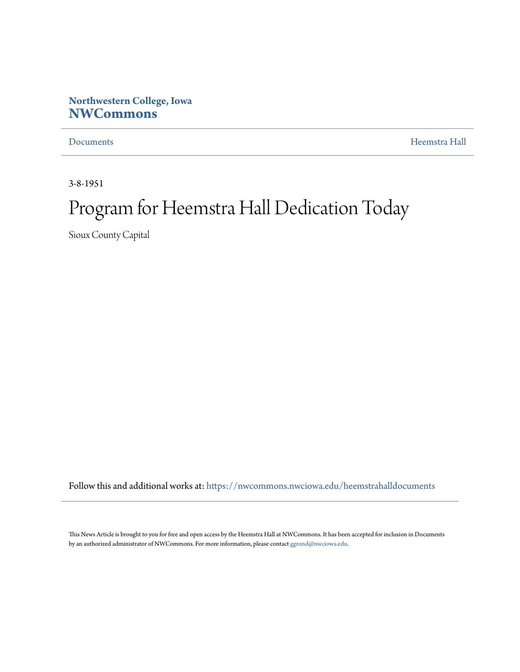#### **Northwestern College, Iowa [NWCommons](https://nwcommons.nwciowa.edu?utm_source=nwcommons.nwciowa.edu%2Fheemstrahalldocuments%2F1&utm_medium=PDF&utm_campaign=PDFCoverPages)**

[Documents](https://nwcommons.nwciowa.edu/heemstrahalldocuments?utm_source=nwcommons.nwciowa.edu%2Fheemstrahalldocuments%2F1&utm_medium=PDF&utm_campaign=PDFCoverPages) [Heemstra Hall](https://nwcommons.nwciowa.edu/heemstrahallcollection?utm_source=nwcommons.nwciowa.edu%2Fheemstrahalldocuments%2F1&utm_medium=PDF&utm_campaign=PDFCoverPages)

3-8-1951

# Program for Heemstra Hall Dedication Today

Sioux County Capital

Follow this and additional works at: [https://nwcommons.nwciowa.edu/heemstrahalldocuments](https://nwcommons.nwciowa.edu/heemstrahalldocuments?utm_source=nwcommons.nwciowa.edu%2Fheemstrahalldocuments%2F1&utm_medium=PDF&utm_campaign=PDFCoverPages)

This News Article is brought to you for free and open access by the Heemstra Hall at NWCommons. It has been accepted for inclusion in Documents by an authorized administrator of NWCommons. For more information, please contact [ggrond@nwciowa.edu](mailto:ggrond@nwciowa.edu).